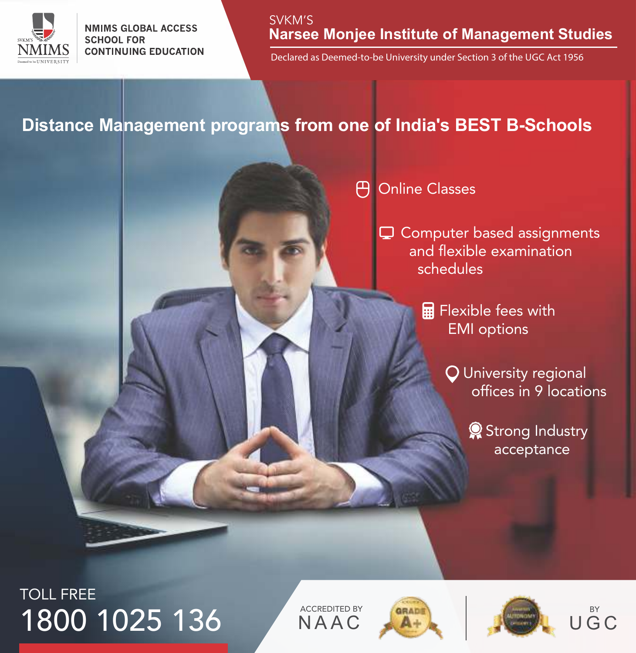

SVKM'S **Narsee Monjee Institute of Management Studies**

Declared as Deemed-to-be University under Section 3 of the UGC Act 1956

### **Distance Management programs from one of India's BEST B-Schools**

#### 円 Online Classes

**□** Computer based assignments and flexible examination schedules

> **Fillent** Flexible fees with EMI options

> > University regional offices in 9 locations

> > > Strong Industry acceptance

# TOLL FREE 1800 1025 136 NAAC

**NAAC** 





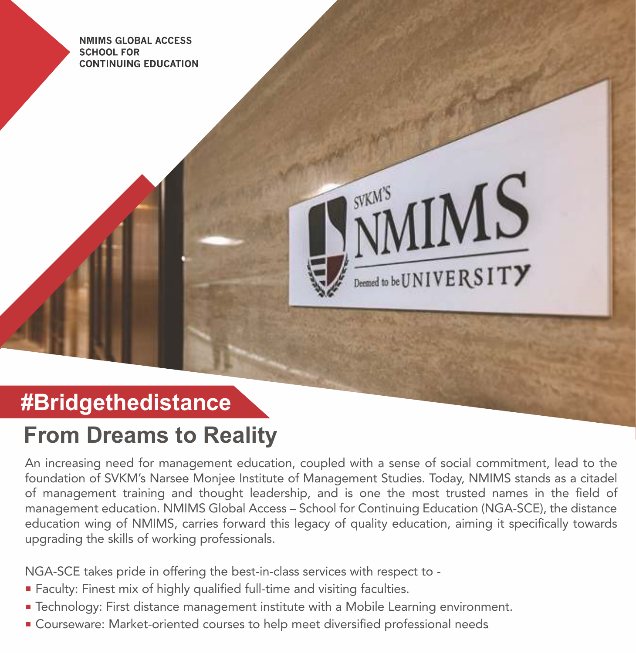

# **#Bridgethedistance**

# **From Dreams to Reality**

An increasing need for management education, coupled with a sense of social commitment, lead to the foundation of SVKM's Narsee Monjee Institute of Management Studies. Today, NMIMS stands as a citadel of management training and thought leadership, and is one the most trusted names in the field of management education. NMIMS Global Access – School for Continuing Education (NGA-SCE), the distance education wing of NMIMS, carries forward this legacy of quality education, aiming it specifically towards upgrading the skills of working professionals.

NGA-SCE takes pride in offering the best-in-class services with respect to -

- **Faculty: Finest mix of highly qualified full-time and visiting faculties.**
- Technology: First distance management institute with a Mobile Learning environment.
- Courseware: Market-oriented courses to help meet diversified professional needs.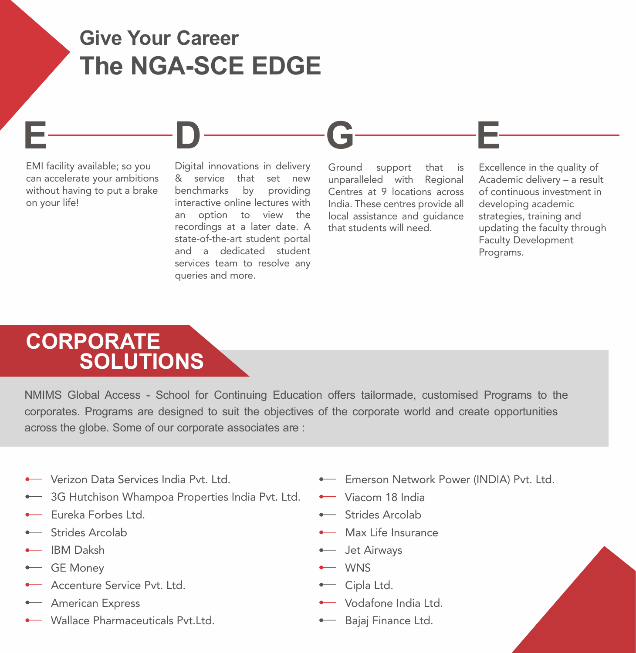# **Give Your Career The NGA-SCE EDGE**

EMI facility available; so you can accelerate your ambitions without having to put a brake on your life!

Digital innovations in delivery & service that set new benchmarks by providing interactive online lectures with an option to view the recordings at a later date. A state-of-the-art student portal and a dedicated student services team to resolve any queries and more.

**E D G E**

Ground support that is unparalleled with Regional Centres at 9 locations across India. These centres provide all local assistance and guidance that students will need.

Excellence in the quality of Academic delivery – a result of continuous investment in developing academic strategies, training and updating the faculty through Faculty Development Programs.

## **CORPORATE SOLUTIONS**

NMIMS Global Access - School for Continuing Education offers tailormade, customised Programs to the corporates. Programs are designed to suit the objectives of the corporate world and create opportunities across the globe. Some of our corporate associates are :

- Verizon Data Services India Pvt. Ltd.
- 3G Hutchison Whampoa Properties India Pvt. Ltd.
- **Eureka Forbes Ltd.**
- **Strides Arcolab**
- IBM Daksh
- GE Money
- **Accenture Service Pvt. Ltd.**
- **American Express**
- Wallace Pharmaceuticals Pyt.I td.
- **Emerson Network Power (INDIA) Pvt. Ltd.**
- Viacom 18 India
- **Strides Arcolab**
- Max Life Insurance
- **I** Jet Airways
- WNS
- Cipla Ltd.
- Wodafone India Ltd.
- **Bajaj Finance Ltd.**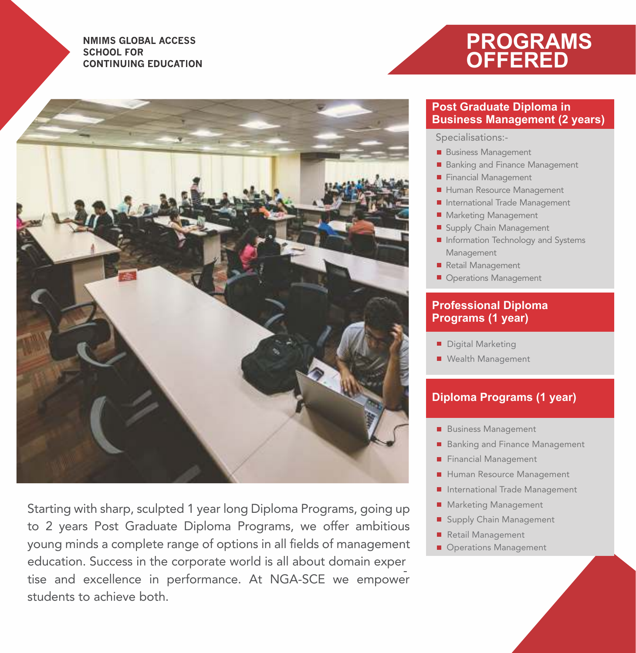



Starting with sharp, sculpted 1 year long Diploma Programs, going up to 2 years Post Graduate Diploma Programs, we offer ambitious young minds a complete range of options in all fields of management education. Success in the corporate world is all about domain exper - tise and excellence in performance. At NGA-SCE we empower students to achieve both.

#### **Post Graduate Diploma in Business Management (2 years)**

Specialisations:-

- Business Management
- Banking and Finance Management
- Financial Management
- Human Resource Management
- International Trade Management
- **Marketing Management**
- Supply Chain Management
- **I** Information Technology and Systems Management
- Retail Management
- Operations Management

#### **Professional Diploma Programs (1 year)**

- Digital Marketing
- Wealth Management

#### **Diploma Programs (1 year)**

- Business Management
- Banking and Finance Management
- Financial Management
- Human Resource Management
- **International Trade Management**
- Marketing Management
- Supply Chain Management
- Retail Management
- Operations Management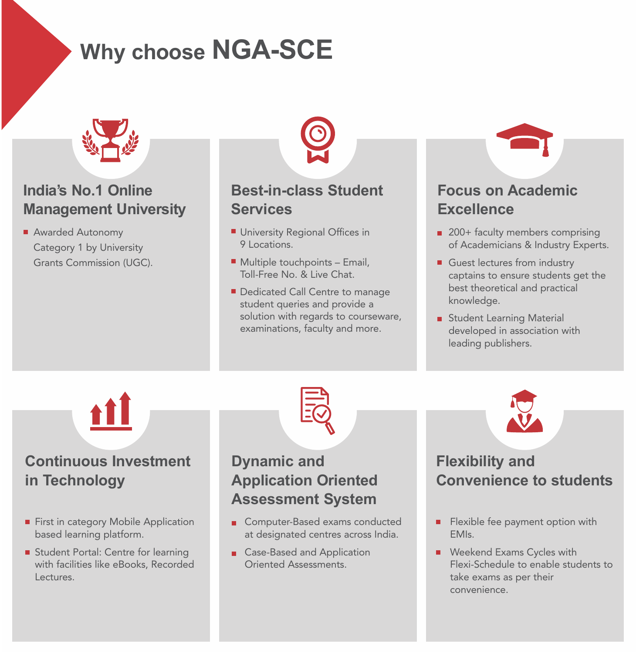# **Why choose NGA-SCE**



### **India's No.1 Online Management University**

Awarded Autonomy Category 1 by University Grants Commission (UGC).

#### **Best-in-class Student Services**

- **University Regional Offices in** 9 Locations.
- Multiple touchpoints Email, Toll-Free No. & Live Chat.
- Dedicated Call Centre to manage student queries and provide a solution with regards to courseware, examinations, faculty and more.

### **Focus on Academic Excellence**

- 200+ faculty members comprising of Academicians & Industry Experts.
- Guest lectures from industry captains to ensure students get the best theoretical and practical knowledge.
- Student Learning Material developed in association with leading publishers.



#### **Continuous Investment in Technology**

- First in category Mobile Application based learning platform.
- Student Portal: Centre for learning with facilities like eBooks, Recorded Lectures.



#### **Dynamic and Application Oriented Assessment System**

- Computer-Based exams conducted at designated centres across India.
- Case-Based and Application Oriented Assessments.



### **Flexibility and Convenience to students**

- n. Flexible fee payment option with EMIs.
- **Weekend Exams Cycles with** Flexi-Schedule to enable students to take exams as per their convenience.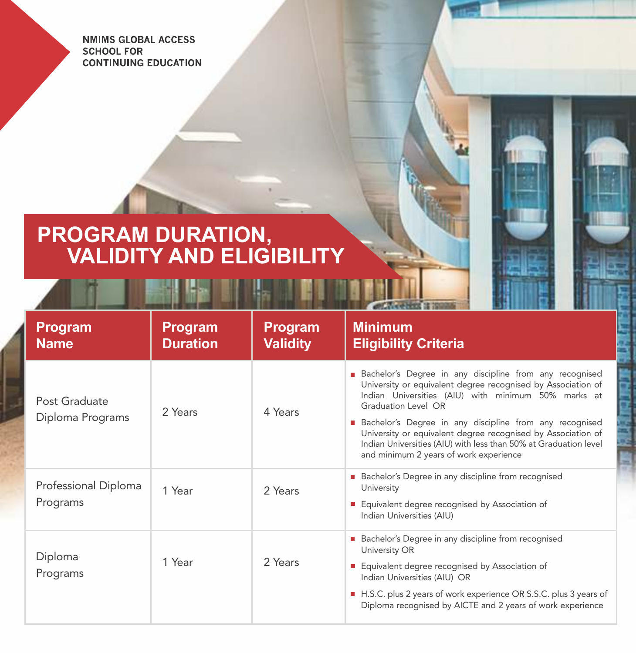## **PROGRAM DURATION, VALIDITY AND ELIGIBILITY**

| Program<br><b>Name</b>            | Program<br><b>Duration</b> | Program<br><b>Validity</b> | <b>Minimum</b><br><b>Eligibility Criteria</b>                                                                                                                                                                                                                                                                                                                                                                                                         |
|-----------------------------------|----------------------------|----------------------------|-------------------------------------------------------------------------------------------------------------------------------------------------------------------------------------------------------------------------------------------------------------------------------------------------------------------------------------------------------------------------------------------------------------------------------------------------------|
| Post Graduate<br>Diploma Programs | 2 Years                    | 4 Years                    | <b>Bachelor's Degree in any discipline from any recognised</b><br>University or equivalent degree recognised by Association of<br>Indian Universities (AIU) with minimum 50% marks at<br>Graduation Level OR<br>Bachelor's Degree in any discipline from any recognised<br>University or equivalent degree recognised by Association of<br>Indian Universities (AIU) with less than 50% at Graduation level<br>and minimum 2 years of work experience |
| Professional Diploma<br>Programs  | 1 Year                     | 2 Years                    | Bachelor's Degree in any discipline from recognised<br>University<br>Equivalent degree recognised by Association of<br>Indian Universities (AIU)                                                                                                                                                                                                                                                                                                      |
| Diploma<br>Programs               | 1 Year                     | 2 Years                    | <b>Bachelor's Degree in any discipline from recognised</b><br>University OR<br>Equivalent degree recognised by Association of<br>Indian Universities (AIU) OR<br>H.S.C. plus 2 years of work experience OR S.S.C. plus 3 years of<br>Diploma recognised by AICTE and 2 years of work experience                                                                                                                                                       |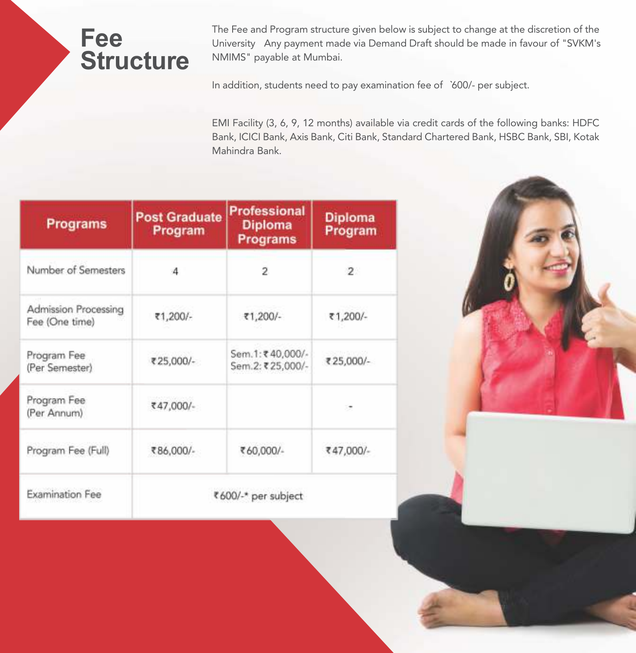# **Fee Structure**

The Fee and Program structure given below is subject to change at the discretion of the University Any payment made via Demand Draft should be made in favour of "SVKM's NMIMS" payable at Mumbai.

In addition, students need to pay examination fee of `600/- per subject.

EMI Facility (3, 6, 9, 12 months) available via credit cards of the following banks: HDFC Bank, ICICI Bank, Axis Bank, Citi Bank, Standard Chartered Bank, HSBC Bank, SBI, Kotak Mahindra Bank.

| <b>Programs</b>                        | <b>Post Graduate</b><br>Program | <b>Professional</b><br><b>Diploma</b><br>Programs | <b>Diploma</b><br>Program |
|----------------------------------------|---------------------------------|---------------------------------------------------|---------------------------|
| Number of Semesters                    | 4                               | 2                                                 | $\overline{2}$            |
| Admission Processing<br>Fee (One time) | ₹1,200/-                        | ₹1,200/-                                          | ₹1,200/-                  |
| Program Fee<br>(Per Semester)          | ₹25,000/-                       | Sem.1:₹40,000/-<br>Sem.2: ₹25,000/-               | ₹25,000/-                 |
| Program Fee<br>(Per Annum)             | ₹47,000/-                       |                                                   |                           |
| Program Fee (Full)                     | ₹86,000/-                       | ₹60,000/-                                         | ₹47,000/-                 |
| <b>Examination Fee</b>                 |                                 | ₹600/-* per subject                               |                           |